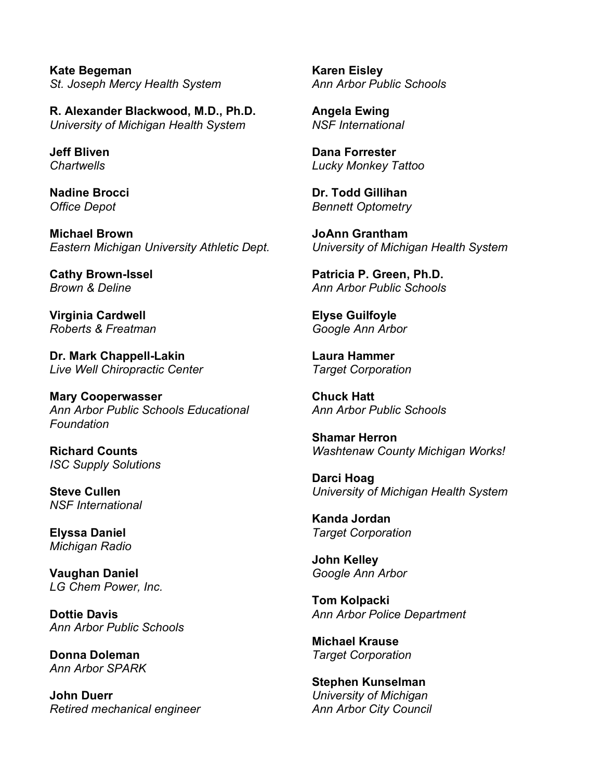**Kate Begeman** *St. Joseph Mercy Health System*

**R. Alexander Blackwood, M.D., Ph.D.** *University of Michigan Health System*

**Jeff Bliven** *Chartwells*

**Nadine Brocci** *Office Depot*

**Michael Brown** *Eastern Michigan University Athletic Dept.* 

**Cathy Brown-Issel** *Brown & Deline*

**Virginia Cardwell** *Roberts & Freatman*

**Dr. Mark Chappell-Lakin** *Live Well Chiropractic Center*

**Mary Cooperwasser** *Ann Arbor Public Schools Educational Foundation*

**Richard Counts** *ISC Supply Solutions*

**Steve Cullen** *NSF International*

**Elyssa Daniel** *Michigan Radio*

**Vaughan Daniel** *LG Chem Power, Inc.*

**Dottie Davis** *Ann Arbor Public Schools*

**Donna Doleman** *Ann Arbor SPARK*

**John Duerr** *Retired mechanical engineer* **Karen Eisley** *Ann Arbor Public Schools*

**Angela Ewing** *NSF International*

**Dana Forrester** *Lucky Monkey Tattoo*

**Dr. Todd Gillihan** *Bennett Optometry*

**JoAnn Grantham** *University of Michigan Health System*

**Patricia P. Green, Ph.D.** *Ann Arbor Public Schools*

**Elyse Guilfoyle** *Google Ann Arbor*

**Laura Hammer** *Target Corporation*

**Chuck Hatt** *Ann Arbor Public Schools*

**Shamar Herron** *Washtenaw County Michigan Works!*

**Darci Hoag** *University of Michigan Health System*

**Kanda Jordan** *Target Corporation*

**John Kelley** *Google Ann Arbor*

**Tom Kolpacki** *Ann Arbor Police Department*

**Michael Krause** *Target Corporation*

**Stephen Kunselman** *University of Michigan Ann Arbor City Council*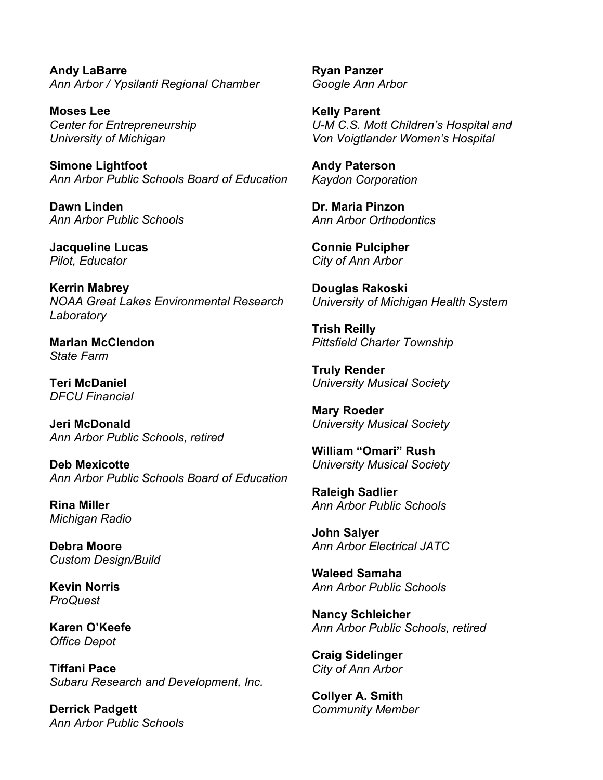**Andy LaBarre** *Ann Arbor / Ypsilanti Regional Chamber*

**Moses Lee** *Center for Entrepreneurship University of Michigan*

**Simone Lightfoot** *Ann Arbor Public Schools Board of Education*

**Dawn Linden** *Ann Arbor Public Schools*

**Jacqueline Lucas** *Pilot, Educator*

**Kerrin Mabrey** *NOAA Great Lakes Environmental Research Laboratory*

**Marlan McClendon** *State Farm*

**Teri McDaniel** *DFCU Financial*

**Jeri McDonald** *Ann Arbor Public Schools, retired*

**Deb Mexicotte** *Ann Arbor Public Schools Board of Education*

**Rina Miller** *Michigan Radio*

**Debra Moore** *Custom Design/Build*

**Kevin Norris** *ProQuest*

**Karen O'Keefe** *Office Depot*

**Tiffani Pace** *Subaru Research and Development, Inc.*

**Derrick Padgett** *Ann Arbor Public Schools* **Ryan Panzer** *Google Ann Arbor*

**Kelly Parent** *U-M C.S. Mott Children's Hospital and Von Voigtlander Women's Hospital*

**Andy Paterson** *Kaydon Corporation*

**Dr. Maria Pinzon** *Ann Arbor Orthodontics*

**Connie Pulcipher** *City of Ann Arbor*

**Douglas Rakoski** *University of Michigan Health System*

**Trish Reilly** *Pittsfield Charter Township*

**Truly Render** *University Musical Society*

**Mary Roeder** *University Musical Society* 

**William "Omari" Rush** *University Musical Society*

**Raleigh Sadlier** *Ann Arbor Public Schools*

**John Salyer** *Ann Arbor Electrical JATC*

**Waleed Samaha** *Ann Arbor Public Schools*

**Nancy Schleicher** *Ann Arbor Public Schools, retired*

**Craig Sidelinger** *City of Ann Arbor*

**Collyer A. Smith** *Community Member*